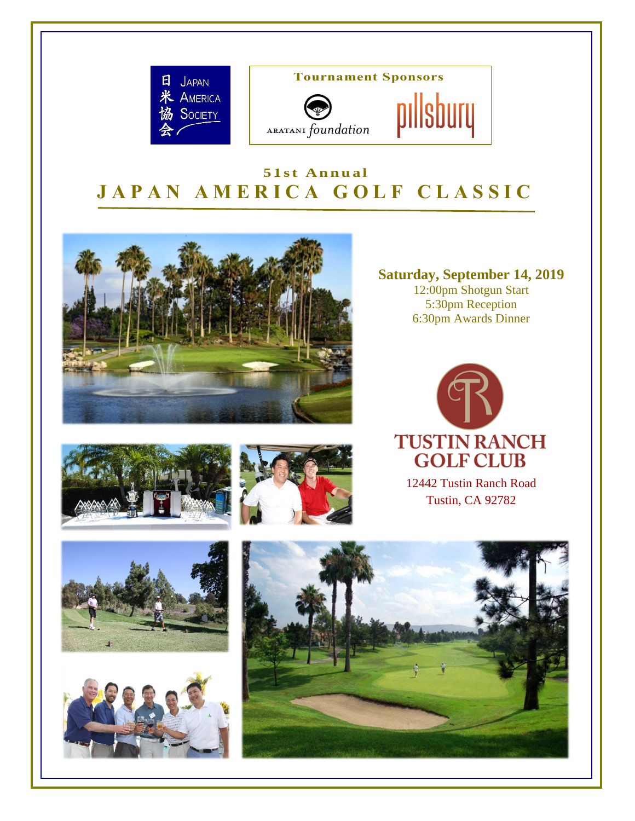

**Tournament Sponsors**



# **5 1 s t A n n u a l J A P A N A M E R I C A G O L F C L A S S I C**



**Saturday, September 14, 2019** 12:00pm Shotgun Start 5:30pm Reception 6:30pm Awards Dinner

pıllsbury











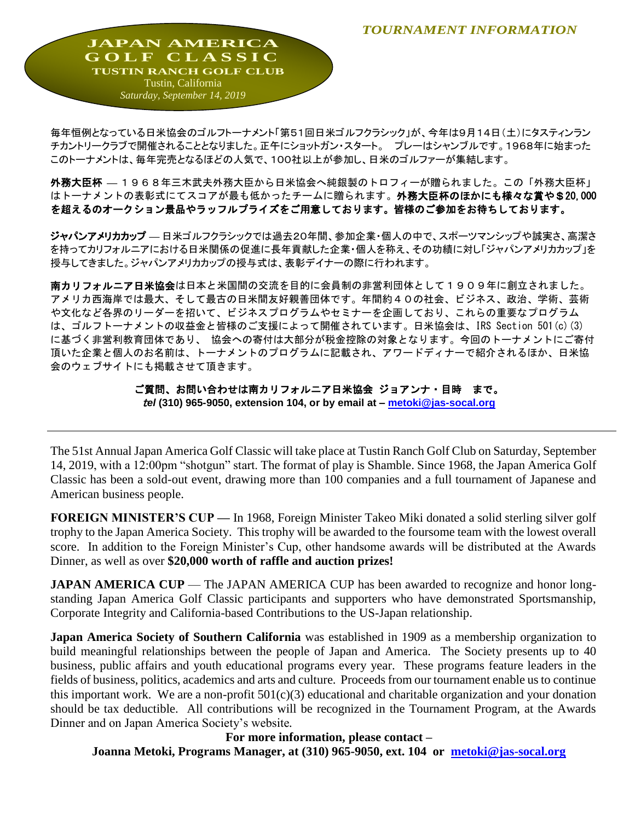*TOURNAMENT INFORMATION*

**JAPAN AMERICA G O L F C L A S S I C TUSTIN RANCH GOLF CLUB** Tustin, California *Saturday, September 14, 2019*

毎年恒例となっている日米協会のゴルフトーナメント「第51回日米ゴルフクラシック」が、今年は9月14日(土)にタスティンラン チカントリークラブで開催されることとなりました。正午にショットガン・スタート。 プレーはシャンブルです。1968年に始まった このトーナメントは、毎年完売となるほどの人気で、100社以上が参加し、日米のゴルファーが集結します。

外務大臣杯 **—** 1968年三木武夫外務大臣から日米協会へ純銀製のトロフィーが贈られました。この「外務大臣杯」 はトーナメントの表彰式にてスコアが最も低かったチームに贈られます。外務大臣杯のほかにも様々な賞や\$20,000 を超えるのオークション景品やラッフルプライズをご用意しております。皆様のご参加をお待ちしております。

ジャパンアメリカカップ **—** 日米ゴルフクラシックでは過去20年間、参加企業・個人の中で、スポーツマンシップや誠実さ、高潔さ を持ってカリフォルニアにおける日米関係の促進に長年貢献した企業・個人を称え、その功績に対し「ジャパンアメリカカップ」を 授与してきました。ジャパンアメリカカップの授与式は、表彰デイナーの際に行われます。

南カリフォルニア日米協会は日本と米国間の交流を目的に会員制の非営利団体として1909年に創立されました。 アメリカ西海岸では最大、そして最古の日米間友好親善団体です。年間約40の社会、ビジネス、政治、学術、芸術 や文化など各界のリーダーを招いて、ビジネスプログラムやセミナーを企画しており、これらの重要なプログラム は、ゴルフトーナメントの収益金と皆様のご支援によって開催されています。日米協会は、IRS Section 501(c)(3) に基づく非営利教育団体であり、 協会への寄付は大部分が税金控除の対象となります。今回のトーナメントにご寄付 頂いた企業と個人のお名前は、トーナメントのプログラムに記載され、アワードディナーで紹介されるほか、日米協 会のウェブサイトにも掲載させて頂きます。

> ご質問、お問い合わせは南カリフォルニア日米協会 ジョアンナ・目時 まで。 <sup>t</sup>*el* **(310) 965-9050, extension 104, or by email at – [metoki@jas-socal.org](mailto:metoki@jas-socal.org)**

The 51st Annual Japan America Golf Classic will take place at Tustin Ranch Golf Club on Saturday, September 14, 2019, with a 12:00pm "shotgun" start. The format of play is Shamble. Since 1968, the Japan America Golf Classic has been a sold-out event, drawing more than 100 companies and a full tournament of Japanese and American business people.

**FOREIGN MINISTER'S CUP —** In 1968, Foreign Minister Takeo Miki donated a solid sterling silver golf trophy to the Japan America Society. This trophy will be awarded to the foursome team with the lowest overall score. In addition to the Foreign Minister's Cup, other handsome awards will be distributed at the Awards Dinner, as well as over **\$20,000 worth of raffle and auction prizes!** 

**JAPAN AMERICA CUP** — The JAPAN AMERICA CUP has been awarded to recognize and honor longstanding Japan America Golf Classic participants and supporters who have demonstrated Sportsmanship, Corporate Integrity and California-based Contributions to the US-Japan relationship.

**Japan America Society of Southern California** was established in 1909 as a membership organization to build meaningful relationships between the people of Japan and America. The Society presents up to 40 business, public affairs and youth educational programs every year. These programs feature leaders in the fields of business, politics, academics and arts and culture. Proceeds from our tournament enable us to continue this important work. We are a non-profit  $501(c)(3)$  educational and charitable organization and your donation should be tax deductible. All contributions will be recognized in the Tournament Program, at the Awards Dinner and on Japan America Society's website*.* 

**For more information, please contact – Joanna Metoki, Programs Manager, at (310) 965-9050, ext. 104 or [metoki@jas-socal.org](mailto:metoki@jas-socal.org)**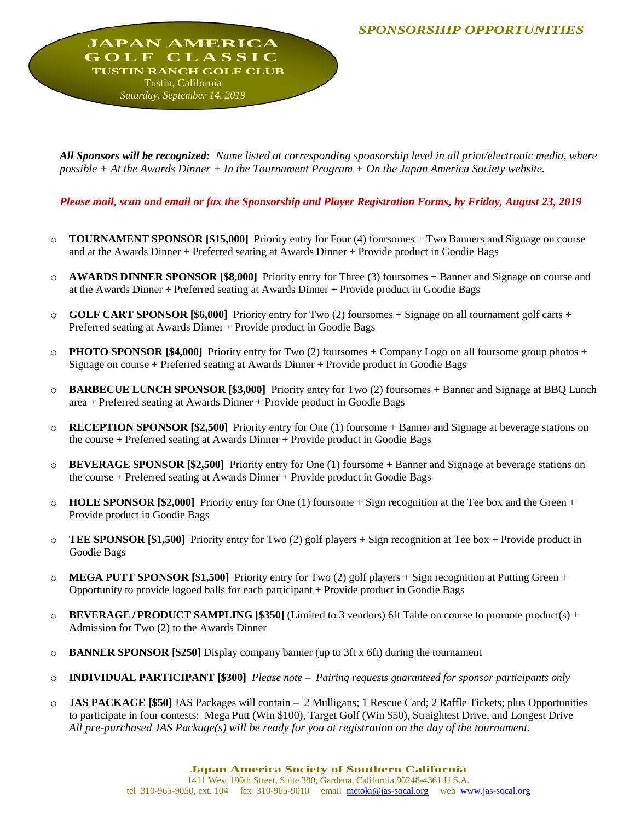**JAPAN AMERICA G O L F C L A S S I C TUSTIN RANCH GOLF CLUB** Tustin, California *Saturday, September 14, 2019*

*All Sponsors will be recognized: Name listed at corresponding sponsorship level in all print/electronic media, where possible + At the Awards Dinner + In the Tournament Program + On the Japan America Society website.*

*Please mail, scan and email or fax the Sponsorship and Player Registration Forms, by Friday, August 23, 2019*

- o **TOURNAMENT SPONSOR [\$15,000]** Priority entry for Four (4) foursomes + Two Banners and Signage on course and at the Awards Dinner + Preferred seating at Awards Dinner + Provide product in Goodie Bags
- o **AWARDS DINNER SPONSOR [\$8,000]** Priority entry for Three (3) foursomes + Banner and Signage on course and at the Awards Dinner + Preferred seating at Awards Dinner + Provide product in Goodie Bags
- o **GOLF CART SPONSOR [\$6,000]** Priority entry for Two (2) foursomes + Signage on all tournament golf carts + Preferred seating at Awards Dinner + Provide product in Goodie Bags
- o **PHOTO SPONSOR [\$4,000]** Priority entry for Two (2) foursomes + Company Logo on all foursome group photos + Signage on course + Preferred seating at Awards Dinner + Provide product in Goodie Bags
- o **BARBECUE LUNCH SPONSOR [\$3,000]** Priority entry for Two (2) foursomes + Banner and Signage at BBQ Lunch area + Preferred seating at Awards Dinner + Provide product in Goodie Bags
- o **RECEPTION SPONSOR [\$2,500]** Priority entry for One (1) foursome + Banner and Signage at beverage stations on the course + Preferred seating at Awards Dinner + Provide product in Goodie Bags
- o **BEVERAGE SPONSOR [\$2,500]** Priority entry for One (1) foursome + Banner and Signage at beverage stations on the course + Preferred seating at Awards Dinner + Provide product in Goodie Bags
- $\circ$  **HOLE SPONSOR [\$2,000]** Priority entry for One (1) foursome + Sign recognition at the Tee box and the Green + Provide product in Goodie Bags
- o **TEE SPONSOR [\$1,500]** Priority entry for Two (2) golf players + Sign recognition at Tee box + Provide product in Goodie Bags
- o **MEGA PUTT SPONSOR [\$1,500]** Priority entry for Two (2) golf players + Sign recognition at Putting Green + Opportunity to provide logoed balls for each participant + Provide product in Goodie Bags
- o **BEVERAGE / PRODUCT SAMPLING [\$350]** (Limited to 3 vendors) 6ft Table on course to promote product(s) + Admission for Two (2) to the Awards Dinner
- o **BANNER SPONSOR [\$250]** Display company banner (up to 3ft x 6ft) during the tournament
- o **INDIVIDUAL PARTICIPANT [\$300]** *Please note – Pairing requests guaranteed for sponsor participants only*
- o **JAS PACKAGE [\$50]** JAS Packages will contain 2 Mulligans; 1 Rescue Card; 2 Raffle Tickets; plus Opportunities to participate in four contests: Mega Putt (Win \$100), Target Golf (Win \$50), Straightest Drive, and Longest Drive *All pre-purchased JAS Package(s) will be ready for you at registration on the day of the tournament.*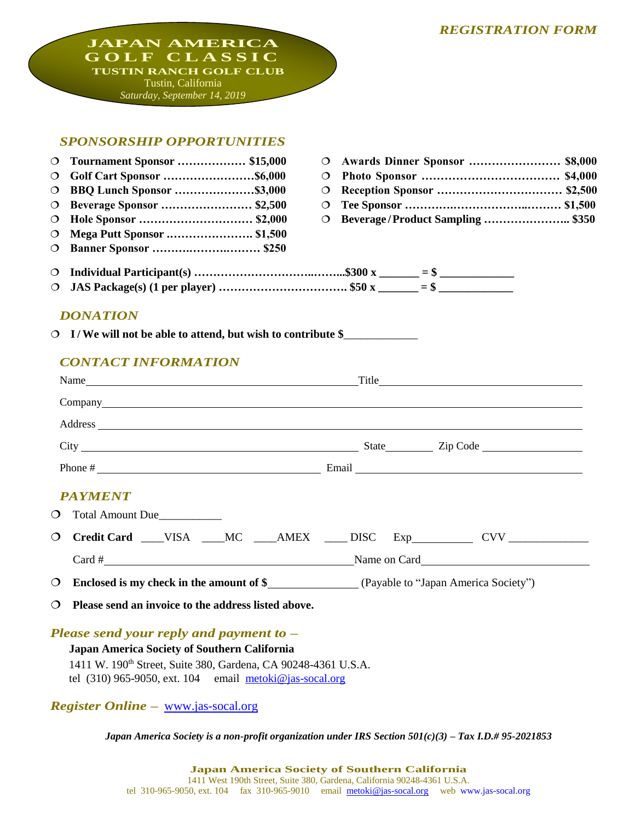# *REGISTRATION FORM*

**JAPAN AMERICA G O L F C L A S S I C TUSTIN RANCH GOLF CLUB** Tustin, California *Saturday, September 14, 2019*

# *SPONSORSHIP OPPORTUNITIES*

| $\circ$ | <b>Tournament Sponsor  \$15,000</b>                                                                                                                                                                                            | $\Omega$ | Awards Dinner Sponsor  \$8,000   |  |
|---------|--------------------------------------------------------------------------------------------------------------------------------------------------------------------------------------------------------------------------------|----------|----------------------------------|--|
| $\circ$ |                                                                                                                                                                                                                                | $\circ$  |                                  |  |
| $\circ$ | <b>BBQ Lunch Sponsor \$3,000</b>                                                                                                                                                                                               | $\circ$  |                                  |  |
| $\circ$ | Beverage Sponsor  \$2,500                                                                                                                                                                                                      | $\circ$  |                                  |  |
| $\circ$ | Hole Sponsor  \$2,000                                                                                                                                                                                                          | $\circ$  | Beverage/Product Sampling  \$350 |  |
| $\circ$ | <b>Mega Putt Sponsor  \$1,500</b>                                                                                                                                                                                              |          |                                  |  |
| $\circ$ | <b>Banner Sponsor  \$250</b>                                                                                                                                                                                                   |          |                                  |  |
| $\circ$ |                                                                                                                                                                                                                                |          |                                  |  |
| $\circ$ |                                                                                                                                                                                                                                |          |                                  |  |
|         |                                                                                                                                                                                                                                |          |                                  |  |
|         | <b>DONATION</b>                                                                                                                                                                                                                |          |                                  |  |
|         | O I/We will not be able to attend, but wish to contribute \$                                                                                                                                                                   |          |                                  |  |
|         |                                                                                                                                                                                                                                |          |                                  |  |
|         | <b>CONTACT INFORMATION</b>                                                                                                                                                                                                     |          |                                  |  |
|         |                                                                                                                                                                                                                                |          |                                  |  |
|         |                                                                                                                                                                                                                                |          |                                  |  |
|         | Address experiences and the contract of the contract of the contract of the contract of the contract of the contract of the contract of the contract of the contract of the contract of the contract of the contract of the co |          |                                  |  |
|         |                                                                                                                                                                                                                                |          |                                  |  |
|         | Phone $\#$ Email Email Email Email Email Email Email Email Email Email Email Email Email Email Email Email Email Email Email Email Email Email Email Email Email Email Email Email Email Email Email Email Email Email Email   |          |                                  |  |
|         |                                                                                                                                                                                                                                |          |                                  |  |
|         | <b>PAYMENT</b>                                                                                                                                                                                                                 |          |                                  |  |
| $\circ$ | Total Amount Due                                                                                                                                                                                                               |          |                                  |  |
| $\circ$ | Credit Card ___VISA ___MC ___AMEX ___DISC Exp_________ CVV ______________________                                                                                                                                              |          |                                  |  |
|         |                                                                                                                                                                                                                                |          |                                  |  |
|         |                                                                                                                                                                                                                                |          |                                  |  |
| $\circ$ |                                                                                                                                                                                                                                |          |                                  |  |
| $\circ$ | Please send an invoice to the address listed above.                                                                                                                                                                            |          |                                  |  |
|         |                                                                                                                                                                                                                                |          |                                  |  |

*Please send your reply and payment to –*

# **Japan America Society of Southern California**

1411 W. 190th Street, Suite 380, Gardena, CA 90248-4361 U.S.A. tel  $(310)$  965-9050, ext. 104 email [metoki@jas-socal.org](mailto:metoki@jas-socal.org)

*Register Online –* [www.jas-socal.org](http://www.jas-socal.org/)

*Japan America Society is a non-profit organization under IRS Section 501(c)(3) – Tax I.D.# 95-2021853*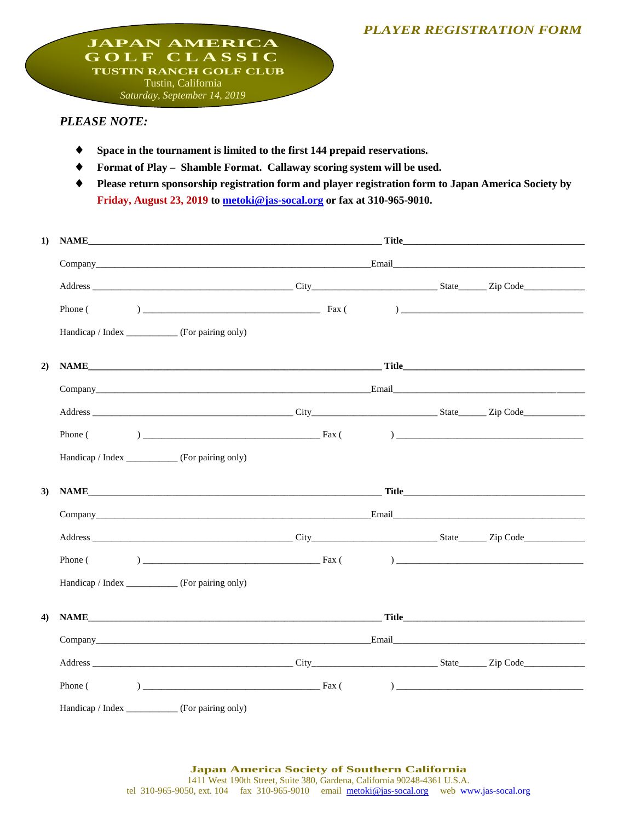#### *PLAYER REGISTRATION FORM*

**JAPAN AMERICA G O L F C L A S S I C TUSTIN RANCH GOLF CLUB** Tustin, California *Saturday, September 14, 2019*

# *PLEASE NOTE:*

- **Space in the tournament is limited to the first 144 prepaid reservations.**
- **Format of Play – Shamble Format. Callaway scoring system will be used.**
- **Please return sponsorship registration form and player registration form to Japan America Society by Friday, August 23, 2019 t[o metoki@jas-socal.org](mailto:metoki@jas-socal.org) or fax at 310-965-9010.**

| 1) | $\blacksquare$ Title $\blacksquare$ and $\blacksquare$ and $\blacksquare$ and $\blacksquare$ and $\blacksquare$ and $\blacksquare$ and $\blacksquare$ and $\blacksquare$ and $\blacksquare$ and $\blacksquare$ and $\blacksquare$ and $\blacksquare$ and $\blacksquare$ and $\blacksquare$ and $\blacksquare$ and $\blacksquare$ and $\blacksquare$ and $\blacksquare$ and $\blacksquare$ and<br><b>NAME</b> |  |  |
|----|--------------------------------------------------------------------------------------------------------------------------------------------------------------------------------------------------------------------------------------------------------------------------------------------------------------------------------------------------------------------------------------------------------------|--|--|
|    |                                                                                                                                                                                                                                                                                                                                                                                                              |  |  |
|    |                                                                                                                                                                                                                                                                                                                                                                                                              |  |  |
|    |                                                                                                                                                                                                                                                                                                                                                                                                              |  |  |
|    | Handicap / Index ___________ (For pairing only)                                                                                                                                                                                                                                                                                                                                                              |  |  |
| 2) |                                                                                                                                                                                                                                                                                                                                                                                                              |  |  |
|    |                                                                                                                                                                                                                                                                                                                                                                                                              |  |  |
|    |                                                                                                                                                                                                                                                                                                                                                                                                              |  |  |
|    |                                                                                                                                                                                                                                                                                                                                                                                                              |  |  |
|    | Handicap / Index ___________ (For pairing only)                                                                                                                                                                                                                                                                                                                                                              |  |  |
| 3) |                                                                                                                                                                                                                                                                                                                                                                                                              |  |  |
|    |                                                                                                                                                                                                                                                                                                                                                                                                              |  |  |
|    |                                                                                                                                                                                                                                                                                                                                                                                                              |  |  |
|    |                                                                                                                                                                                                                                                                                                                                                                                                              |  |  |
|    |                                                                                                                                                                                                                                                                                                                                                                                                              |  |  |
|    | Handicap / Index __________ (For pairing only)                                                                                                                                                                                                                                                                                                                                                               |  |  |
| 4) |                                                                                                                                                                                                                                                                                                                                                                                                              |  |  |
|    |                                                                                                                                                                                                                                                                                                                                                                                                              |  |  |
|    |                                                                                                                                                                                                                                                                                                                                                                                                              |  |  |
|    |                                                                                                                                                                                                                                                                                                                                                                                                              |  |  |